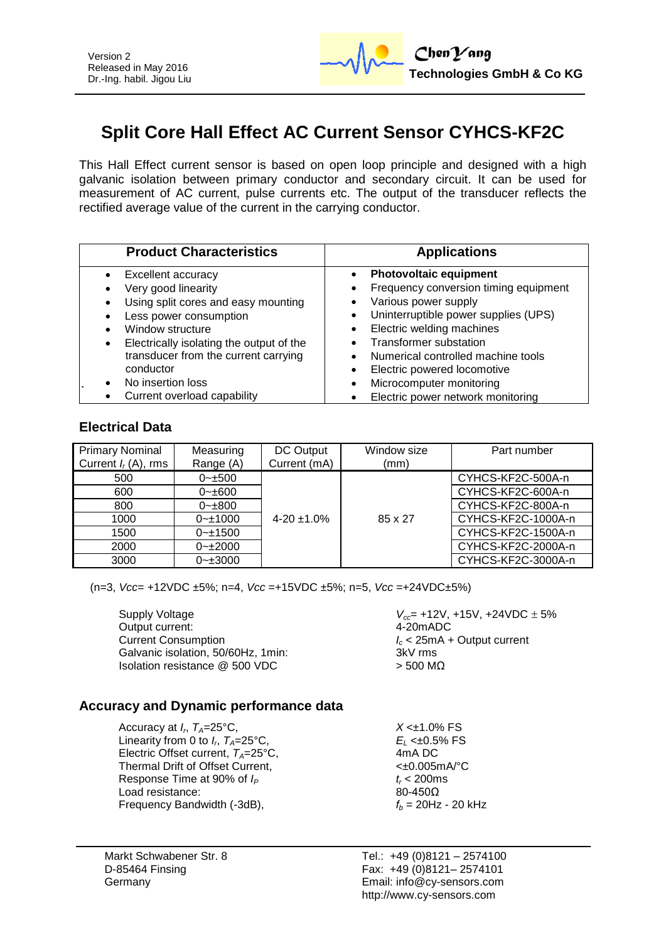

# **Split Core Hall Effect AC Current Sensor CYHCS-KF2C**

This Hall Effect current sensor is based on open loop principle and designed with a high galvanic isolation between primary conductor and secondary circuit. It can be used for measurement of AC current, pulse currents etc. The output of the transducer reflects the rectified average value of the current in the carrying conductor.

| <b>Product Characteristics</b>                                                                                                                                                                                                  | <b>Applications</b>                                                                                                                                                                                                                                                                    |
|---------------------------------------------------------------------------------------------------------------------------------------------------------------------------------------------------------------------------------|----------------------------------------------------------------------------------------------------------------------------------------------------------------------------------------------------------------------------------------------------------------------------------------|
| Excellent accuracy<br>Very good linearity<br>Using split cores and easy mounting<br>Less power consumption<br>Window structure<br>Electrically isolating the output of the<br>transducer from the current carrying<br>conductor | <b>Photovoltaic equipment</b><br>Frequency conversion timing equipment<br>Various power supply<br>Uninterruptible power supplies (UPS)<br>Electric welding machines<br>$\bullet$<br><b>Transformer substation</b><br>Numerical controlled machine tools<br>Electric powered locomotive |
| No insertion loss<br>Current overload capability                                                                                                                                                                                | Microcomputer monitoring<br>Electric power network monitoring                                                                                                                                                                                                                          |

#### **Electrical Data**

| <b>Primary Nominal</b> | Measuring      | DC Output       | Window size | Part number        |
|------------------------|----------------|-----------------|-------------|--------------------|
| Current $I_r(A)$ , rms | Range (A)      | Current (mA)    | (mm)        |                    |
| 500                    | $0 - \pm 500$  |                 |             | CYHCS-KF2C-500A-n  |
| 600                    | $0 - \pm 600$  |                 |             | CYHCS-KF2C-600A-n  |
| 800                    | $0 - \pm 800$  |                 |             | CYHCS-KF2C-800A-n  |
| 1000                   | $0 - 1000$     | $4 - 20 + 1.0%$ | 85 x 27     | CYHCS-KF2C-1000A-n |
| 1500                   | $0 - 1500$     |                 |             | CYHCS-KF2C-1500A-n |
| 2000                   | $0 - 2000$     |                 |             | CYHCS-KF2C-2000A-n |
| 3000                   | $0 - \pm 3000$ |                 |             | CYHCS-KF2C-3000A-n |

(n=3, *Vcc*= +12VDC ±5%; n=4, *Vcc* =+15VDC ±5%; n=5, *Vcc* =+24VDC±5%)

Supply Voltage *V<sub>cc</sub>* = +12V, +15V, +24VDC ± 5% Output current: 4-20mADC Current Consumption<br>Galvanic isolation, 50/60Hz, 1min:<br>
Galvanic isolation, 50/60Hz, 1min:<br>
2kV rms Galvanic isolation, 50/60Hz, 1min: Isolation resistance  $@$  500 VDC  $>$  500 MΩ

## **Accuracy and Dynamic performance data**

Accuracy at  $I_r$ ,  $T_A = 25$ °C, Linearity from 0 to  $I_n$ ,  $T_A = 25^{\circ}$ C, Electric Offset current,  $T_A = 25^\circ \text{C}$ ,  $4 \text{mA} \text{ DC}$ <br>Thermal Drift of Offset Current.  $\leq 40.005 \text{mA}$ <sup>o</sup>C Thermal Drift of Offset Current. Response Time at 90% of  $I_P$   $t_r < 200 \text{ms}$ <br>Load resistance:  $80-4500$ Load resistance: Frequency Bandwidth  $(-3dB)$ ,  $f_b = 20Hz - 20kHz$ 

Markt Schwabener Str. 8 D-85464 Finsing Germany

 $X < \pm 1.0\%$  FS *E*<sub>L</sub> <±0.5% FS<br>4mA DC

Tel.: +49 (0)8121 – 2574100 Fax: +49 (0)8121– 2574101 Email: info@cy-sensors.com http://www.cy-sensors.com